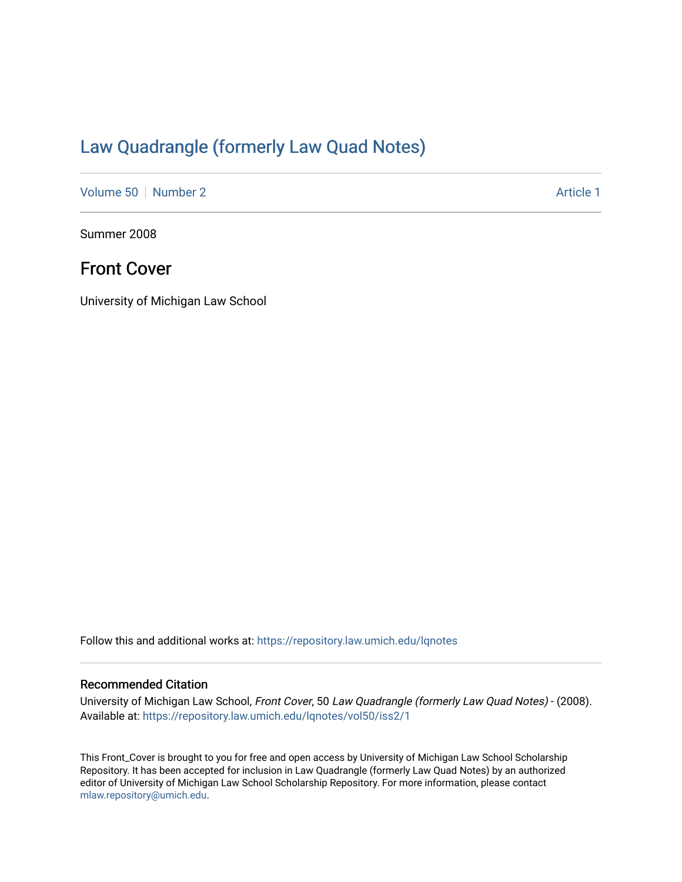## [Law Quadrangle \(formerly Law Quad Notes\)](https://repository.law.umich.edu/lqnotes)

[Volume 50](https://repository.law.umich.edu/lqnotes/vol50) [Number 2](https://repository.law.umich.edu/lqnotes/vol50/iss2) Article 1

Summer 2008

### Front Cover

University of Michigan Law School

Follow this and additional works at: [https://repository.law.umich.edu/lqnotes](https://repository.law.umich.edu/lqnotes?utm_source=repository.law.umich.edu%2Flqnotes%2Fvol50%2Fiss2%2F1&utm_medium=PDF&utm_campaign=PDFCoverPages) 

#### Recommended Citation

University of Michigan Law School, Front Cover, 50 Law Quadrangle (formerly Law Quad Notes) - (2008). Available at: [https://repository.law.umich.edu/lqnotes/vol50/iss2/1](https://repository.law.umich.edu/lqnotes/vol50/iss2/1?utm_source=repository.law.umich.edu%2Flqnotes%2Fvol50%2Fiss2%2F1&utm_medium=PDF&utm_campaign=PDFCoverPages) 

This Front\_Cover is brought to you for free and open access by University of Michigan Law School Scholarship Repository. It has been accepted for inclusion in Law Quadrangle (formerly Law Quad Notes) by an authorized editor of University of Michigan Law School Scholarship Repository. For more information, please contact [mlaw.repository@umich.edu.](mailto:mlaw.repository@umich.edu)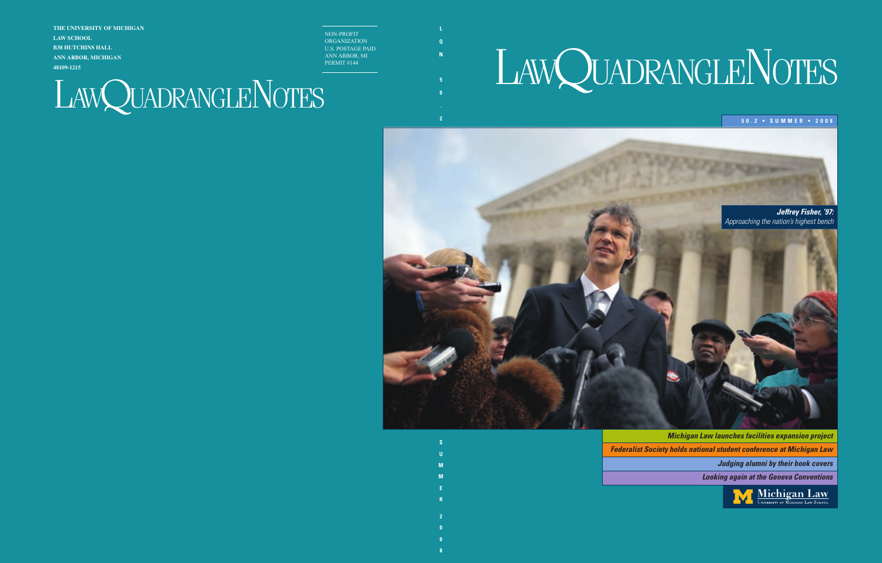# LAWQUADRANGLENOTES

#### **5 0 . 2 • S U M M E R • 2 0 0 8 0**

*Jeffrey Fisher, '97: Approaching the nation's highest bench*

*Michigan Law launches facilities expansion project Federalist Society holds national student conference at Michigan Law*

*Judging alumni by their book covers*

*Looking again at the Geneva Conventions*

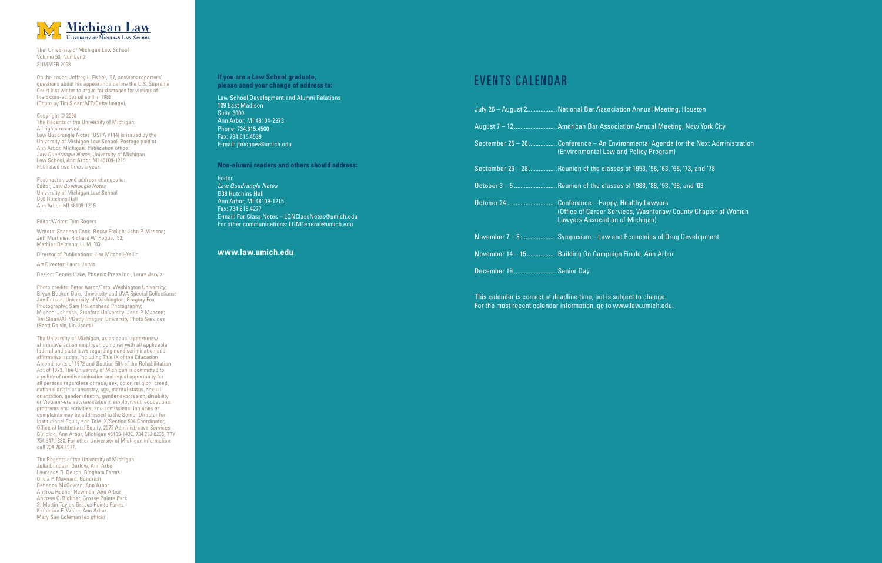

The University of Michigan Law School Volume 50, Number 2 SUMMER 2008

On the cover: Jeffrey L. Fisher, '97, answers reporters' questions about his appearance before the U.S. Supreme Court last winter to argue for damages for victims of the Exxon-Valdez oil spill in 1989. (Photo by Tim Sloan/AFP/Getty Image).

Copyright © 2008 The Regents of the University of Michigan. All rights reserved. Law Quadrangle Notes (USPA #144) is issued by the University of Michigan Law School. Postage paid at Ann Arbor, Michigan. Publication office: *Law Quadrangle Notes*, University of Michigan Law School, Ann Arbor, MI 48109-1215. Published two times a year.

Postmaster, send address changes to: Editor, *Law Quadrangle Notes* University of Michigan Law School B38 Hutchins Hall Ann Arbor, MI 48109-1215

Editor/Writer: Tom Rogers

Writers: Shannon Cook; Becky Freligh; John P. Masson; Jeff Mortimer; Richard W. Pogue, '53; Mathias Reimann, LL.M. '83

Director of Publications: Lisa Mitchell-Yellin

Art Director: Laura Jarvis

Design: Dennis Liske, Phoenix Press Inc., Laura Jarvis

Photo credits: Peter Aaron/Esto, Washington University; Bryan Becker, Duke University and UVA Special Collections; Jay Dotson, University of Washington; Gregory Fox Photography; Sam Hollenshead Photography; Michael Johnson, Stanford University; John P. Masson; Tim Sloan/AFP/Getty Images; University Photo Services (Scott Galvin, Lin Jones)

The University of Michigan, as an equal opportunity/ affirmative action employer, complies with all applicable federal and state laws regarding nondiscrimination and affirmative action, including Title IX of the Education Amendments of 1972 and Section 504 of the Rehabilitation Act of 1973. The University of Michigan is committed to a policy of nondiscrimination and equal opportunity for all persons regardless of race, sex, color, religion, creed, national origin or ancestry, age, marital status, sexual orientation, gender identity, gender expression, disability, or Vietnam-era veteran status in employment, educational programs and activities, and admissions. Inquiries or complaints may be addressed to the Senior Director for Institutional Equity and Title IX/Section 504 Coordinator, Office of Institutional Equity, 2072 Administrative Services Building, Ann Arbor, Michigan 48109-1432, 734.763.0235, TTY 734.647.1388. For other University of Michigan information call 734.764.1817.

The Regents of the University of Michigan Julia Donovan Darlow, Ann Arbor Laurence B. Deitch, Bingham Farms Olivia P. Maynard, Goodrich Rebecca McGowan, Ann Arbor Andrea Fischer Newman, Ann Arbor Andrew C. Richner, Grosse Pointe Park S. Martin Taylor, Grosse Pointe Farms Katherine E. White, Ann Arbor Mary Sue Coleman (ex officio)

#### **If you are a Law School graduate, please send your change of address to:**

Law School Development and Alumni Relations 109 East Madison Suite 3000 Ann Arbor, MI 48104-2973 Phone: 734.615.4500 Fax: 734.615.4539 E-mail: jteichow@umich.edu

**Non-alumni readers and others should address:**

Editor *Law Quadrangle Notes* B38 Hutchins Hall Ann Arbor, MI 48109-1215 Fax: 734.615.4277 E-mail: For Class Notes – LQNClassNotes@umich.edu For other communications: LQNGeneral@umich.edu

#### **www.law.umich.edu**